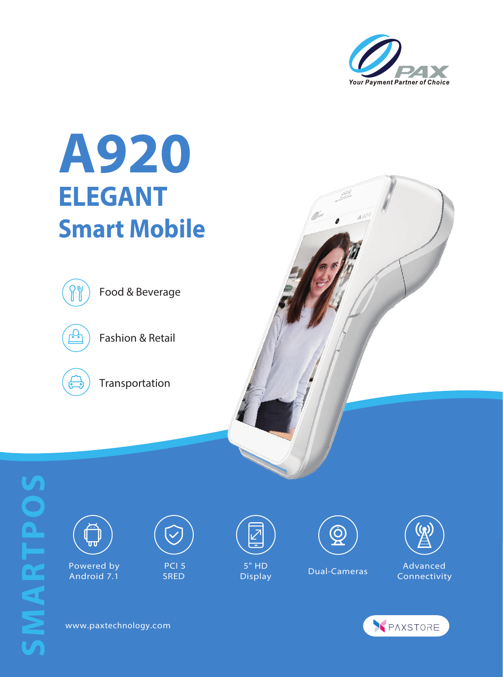

## **A920 ELEGANT Smart Mobile**



Food & Beverage



Fashion & Retail



Transportation





 Powered by Android 7.1



PCI<sub>5</sub> SRED



5" HD Display Dual-Cameras





Advanced Connectivity



www.paxtechnology.com